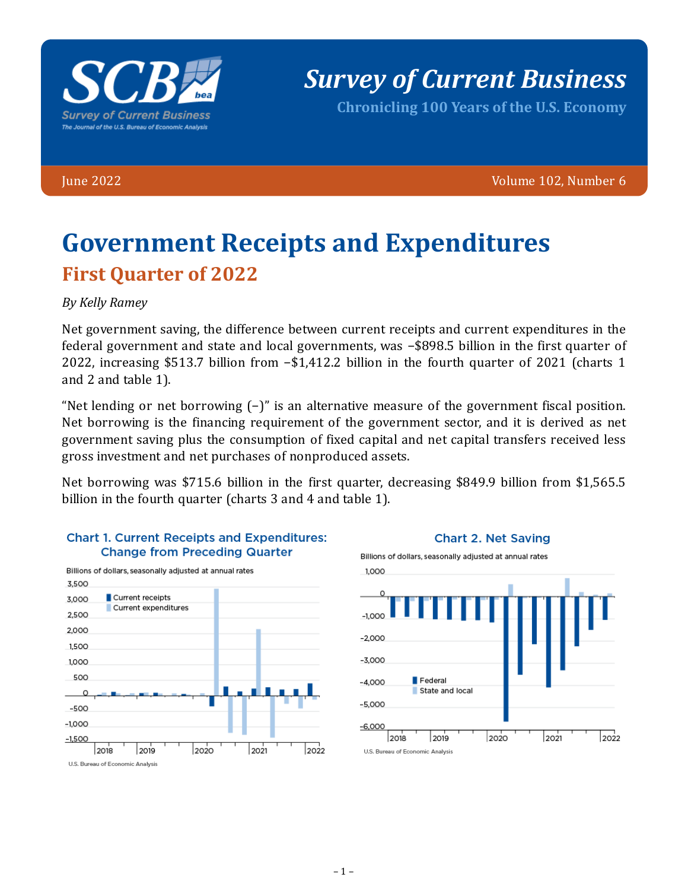

*Survey of Current Business*

**Chronicling 100 Years of the U.S. Economy**

June 2022 Volume 102, Number 6

# **Government Receipts and Expenditures First Quarter of 2022**

#### *By Kelly Ramey*

Net government saving, the difference between current receipts and current expenditures in the federal government and state and local governments, was −\$898.5 billion in the first quarter of 2022, increasing \$513.7 billion from −\$1,412.2 billion in the fourth quarter of 2021 (charts 1 and 2 and table 1).

"Net lending or net borrowing (−)" is an alternative measure of the government fiscal position. Net borrowing is the financing requirement of the government sector, and it is derived as net government saving plus the consumption of fixed capital and net capital transfers received less gross investment and net purchases of nonproduced assets.

Net borrowing was \$715.6 billion in the first quarter, decreasing \$849.9 billion from \$1,565.5 billion in the fourth quarter (charts 3 and 4 and table 1).







**Chart 2. Net Saving**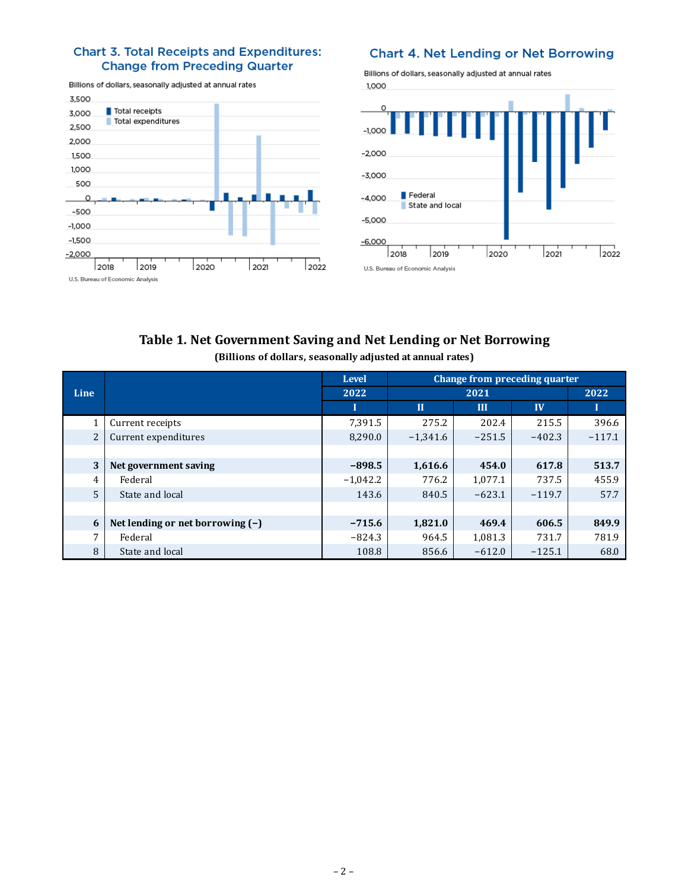#### **Chart 3. Total Receipts and Expenditures: Change from Preceding Quarter**

Billions of dollars, seasonally adjusted at annual rates 3,500 Total receipts 3,000 Total expenditures 2,500 2,000 1,500 1,000 500  $\circ$  $-500$  $-1,000$  $-1,500$  $-2,000$ 2022 2018 2020  $2021$ 2019 U.S. Bureau of Economic Analysis

#### Chart 4. Net Lending or Net Borrowing

Billions of dollars, seasonally adjusted at annual rates



### **Table 1. Net Government Saving and Net Lending or Net Borrowing (Billions of dollars, seasonally adjusted at annual rates)**

|                |                                    | <b>Level</b> | Change from preceding quarter |          |          |          |  |
|----------------|------------------------------------|--------------|-------------------------------|----------|----------|----------|--|
| <b>Line</b>    |                                    | 2022         |                               | 2022     |          |          |  |
|                |                                    | ш            | $\Pi$                         | III      | IV       |          |  |
|                | Current receipts                   | 7,391.5      | 275.2                         | 202.4    | 215.5    | 396.6    |  |
| $\overline{2}$ | Current expenditures               | 8,290.0      | $-1,341.6$                    | $-251.5$ | $-402.3$ | $-117.1$ |  |
|                |                                    |              |                               |          |          |          |  |
| 3              | Net government saving              | $-898.5$     | 1,616.6                       | 454.0    | 617.8    | 513.7    |  |
| 4              | Federal                            | $-1,042.2$   | 776.2                         | 1,077.1  | 737.5    | 455.9    |  |
| 5              | State and local                    | 143.6        | 840.5                         | $-623.1$ | $-119.7$ | 57.7     |  |
|                |                                    |              |                               |          |          |          |  |
| 6              | Net lending or net borrowing $(-)$ | $-715.6$     | 1,821.0                       | 469.4    | 606.5    | 849.9    |  |
| 7              | Federal                            | $-824.3$     | 964.5                         | 1,081.3  | 731.7    | 781.9    |  |
| 8              | State and local                    | 108.8        | 856.6                         | $-612.0$ | $-125.1$ | 68.0     |  |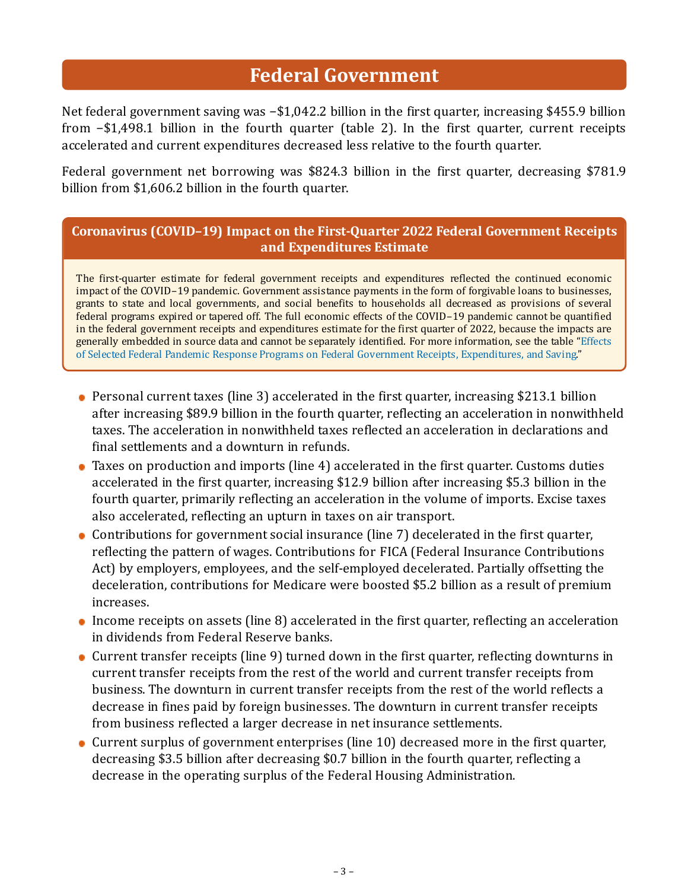# **Federal Government**

Net federal government saving was −\$1,042.2 billion in the first quarter, increasing \$455.9 billion from −\$1,498.1 billion in the fourth quarter (table 2). In the first quarter, current receipts accelerated and current expenditures decreased less relative to the fourth quarter.

Federal government net borrowing was \$824.3 billion in the first quarter, decreasing \$781.9 billion from \$1,606.2 billion in the fourth quarter.

### **Coronavirus (COVID–19) Impact on the First-Quarter 2022 Federal Government Receipts and Expenditures Estimate**

The first-quarter estimate for federal government receipts and expenditures reflected the continued economic impact of the COVID–19 pandemic. Government assistance payments in the form of forgivable loans to businesses, grants to state and local governments, and social benefits to households all decreased as provisions of several federal programs expired or tapered off. The full economic effects of the COVID–19 pandemic cannot be quantified in the federal government receipts and expenditures estimate for the first quarter of 2022, because the impacts are [generally embedded in source data and cannot be separately identified. For more information, see the table "Effects](https://www.bea.gov/sites/default/files/2022-05/effects-of-selected-federal-pandemic-response-programs-on-federal-government-receipts-expenditures-and-saving-2022q1-2nd.pdf) of Selected Federal Pandemic Response Programs on Federal Government Receipts, Expenditures, and Saving."

- Personal current taxes (line 3) accelerated in the first quarter, increasing \$213.1 billion after increasing \$89.9 billion in the fourth quarter, reflecting an acceleration in nonwithheld taxes. The acceleration in nonwithheld taxes reflected an acceleration in declarations and final settlements and a downturn in refunds.
- Taxes on production and imports (line 4) accelerated in the first quarter. Customs duties accelerated in the first quarter, increasing \$12.9 billion after increasing \$5.3 billion in the fourth quarter, primarily reflecting an acceleration in the volume of imports. Excise taxes also accelerated, reflecting an upturn in taxes on air transport.
- Contributions for government social insurance (line 7) decelerated in the first quarter, reflecting the pattern of wages. Contributions for FICA (Federal Insurance Contributions Act) by employers, employees, and the self-employed decelerated. Partially offsetting the deceleration, contributions for Medicare were boosted \$5.2 billion as a result of premium increases.
- Income receipts on assets (line 8) accelerated in the first quarter, reflecting an acceleration in dividends from Federal Reserve banks.
- Current transfer receipts (line 9) turned down in the first quarter, reflecting downturns in current transfer receipts from the rest of the world and current transfer receipts from business. The downturn in current transfer receipts from the rest of the world reflects a decrease in fines paid by foreign businesses. The downturn in current transfer receipts from business reflected a larger decrease in net insurance settlements.
- Current surplus of government enterprises (line 10) decreased more in the first quarter, decreasing \$3.5 billion after decreasing \$0.7 billion in the fourth quarter, reflecting a decrease in the operating surplus of the Federal Housing Administration.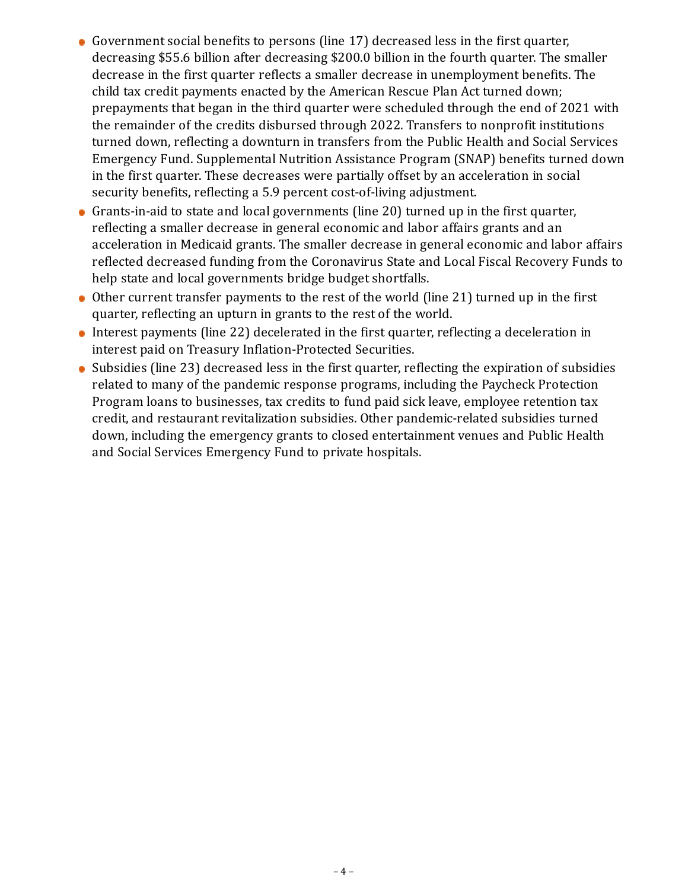- Government social benefits to persons (line 17) decreased less in the first quarter, decreasing \$55.6 billion after decreasing \$200.0 billion in the fourth quarter. The smaller decrease in the first quarter reflects a smaller decrease in unemployment benefits. The child tax credit payments enacted by the American Rescue Plan Act turned down; prepayments that began in the third quarter were scheduled through the end of 2021 with the remainder of the credits disbursed through 2022. Transfers to nonprofit institutions turned down, reflecting a downturn in transfers from the Public Health and Social Services Emergency Fund. Supplemental Nutrition Assistance Program (SNAP) benefits turned down in the first quarter. These decreases were partially offset by an acceleration in social security benefits, reflecting a 5.9 percent cost-of-living adjustment.
- Grants-in-aid to state and local governments (line 20) turned up in the first quarter, reflecting a smaller decrease in general economic and labor affairs grants and an acceleration in Medicaid grants. The smaller decrease in general economic and labor affairs reflected decreased funding from the Coronavirus State and Local Fiscal Recovery Funds to help state and local governments bridge budget shortfalls.
- Other current transfer payments to the rest of the world (line 21) turned up in the first quarter, reflecting an upturn in grants to the rest of the world.
- Interest payments (line 22) decelerated in the first quarter, reflecting a deceleration in interest paid on Treasury Inflation-Protected Securities.
- Subsidies (line 23) decreased less in the first quarter, reflecting the expiration of subsidies related to many of the pandemic response programs, including the Paycheck Protection Program loans to businesses, tax credits to fund paid sick leave, employee retention tax credit, and restaurant revitalization subsidies. Other pandemic-related subsidies turned down, including the emergency grants to closed entertainment venues and Public Health and Social Services Emergency Fund to private hospitals.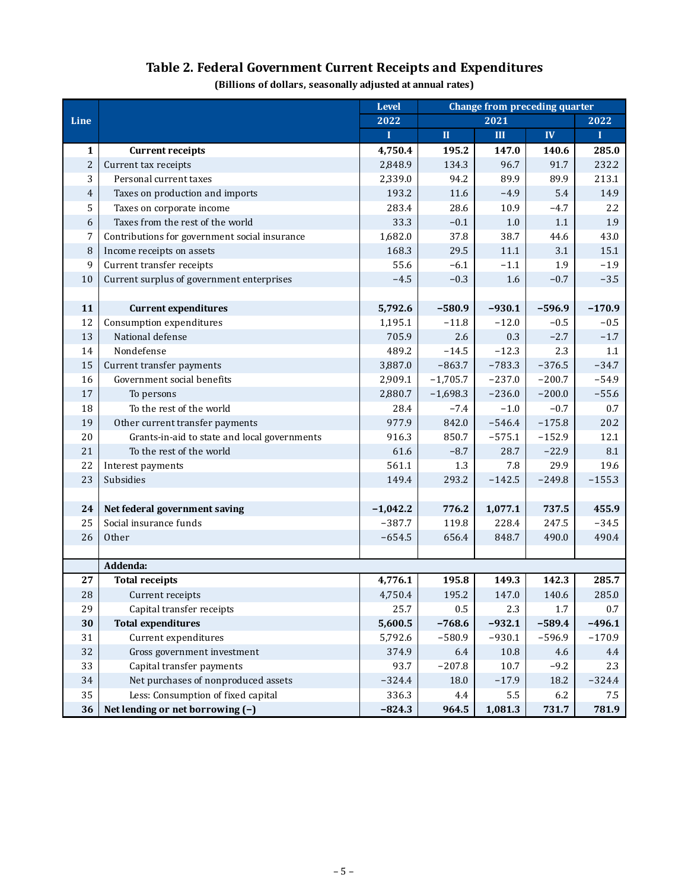## **Table 2. Federal Government Current Receipts and Expenditures**

**(Billions of dollars, seasonally adjusted at annual rates)**

|                |                                               | Level      | Change from preceding quarter |          |          |          |
|----------------|-----------------------------------------------|------------|-------------------------------|----------|----------|----------|
| Line           |                                               | 2022       |                               | 2021     |          | 2022     |
|                |                                               | Ī          | $\mathbf{I}\mathbf{I}$        | III      | IV       | T        |
| $\mathbf{1}$   | <b>Current receipts</b>                       | 4,750.4    | 195.2                         | 147.0    | 140.6    | 285.0    |
| $\overline{c}$ | Current tax receipts                          | 2,848.9    | 134.3                         | 96.7     | 91.7     | 232.2    |
| 3              | Personal current taxes                        | 2,339.0    | 94.2                          | 89.9     | 89.9     | 213.1    |
| $\overline{4}$ | Taxes on production and imports               | 193.2      | 11.6                          | $-4.9$   | 5.4      | 14.9     |
| 5              | Taxes on corporate income                     | 283.4      | 28.6                          | 10.9     | $-4.7$   | 2.2      |
| 6              | Taxes from the rest of the world              | 33.3       | $-0.1$                        | $1.0\,$  | 1.1      | 1.9      |
| 7              | Contributions for government social insurance | 1,682.0    | 37.8                          | 38.7     | 44.6     | 43.0     |
| 8              | Income receipts on assets                     | 168.3      | 29.5                          | 11.1     | 3.1      | 15.1     |
| 9              | Current transfer receipts                     | 55.6       | $-6.1$                        | $-1.1$   | 1.9      | $-1.9$   |
| 10             | Current surplus of government enterprises     | $-4.5$     | $-0.3$                        | 1.6      | $-0.7$   | $-3.5$   |
|                |                                               |            |                               |          |          |          |
| 11             | <b>Current expenditures</b>                   | 5,792.6    | $-580.9$                      | $-930.1$ | $-596.9$ | $-170.9$ |
| 12             | Consumption expenditures                      | 1,195.1    | $-11.8$                       | $-12.0$  | $-0.5$   | $-0.5$   |
| 13             | National defense                              | 705.9      | 2.6                           | 0.3      | $-2.7$   | $-1.7$   |
| 14             | Nondefense                                    | 489.2      | $-14.5$                       | $-12.3$  | 2.3      | 1.1      |
| 15             | Current transfer payments                     | 3,887.0    | $-863.7$                      | $-783.3$ | $-376.5$ | $-34.7$  |
| 16             | Government social benefits                    | 2,909.1    | $-1,705.7$                    | $-237.0$ | $-200.7$ | $-54.9$  |
| 17             | To persons                                    | 2,880.7    | $-1,698.3$                    | $-236.0$ | $-200.0$ | $-55.6$  |
| 18             | To the rest of the world                      | 28.4       | $-7.4$                        | $-1.0$   | $-0.7$   | 0.7      |
| 19             | Other current transfer payments               | 977.9      | 842.0                         | $-546.4$ | $-175.8$ | 20.2     |
| 20             | Grants-in-aid to state and local governments  | 916.3      | 850.7                         | $-575.1$ | $-152.9$ | 12.1     |
| 21             | To the rest of the world                      | 61.6       | $-8.7$                        | 28.7     | $-22.9$  | 8.1      |
| 22             | Interest payments                             | 561.1      | 1.3                           | 7.8      | 29.9     | 19.6     |
| 23             | Subsidies                                     | 149.4      | 293.2                         | $-142.5$ | $-249.8$ | $-155.3$ |
|                |                                               |            |                               |          |          |          |
| 24             | Net federal government saving                 | $-1,042.2$ | 776.2                         | 1,077.1  | 737.5    | 455.9    |
| 25             | Social insurance funds                        | $-387.7$   | 119.8                         | 228.4    | 247.5    | $-34.5$  |
| 26             | Other                                         | $-654.5$   | 656.4                         | 848.7    | 490.0    | 490.4    |
|                |                                               |            |                               |          |          |          |
|                | Addenda:                                      |            |                               |          |          |          |
| 27             | <b>Total receipts</b>                         | 4,776.1    | 195.8                         | 149.3    | 142.3    | 285.7    |
| 28             | Current receipts                              | 4,750.4    | 195.2                         | 147.0    | 140.6    | 285.0    |
| 29             | Capital transfer receipts                     | 25.7       | $0.5\,$                       | 2.3      | 1.7      | 0.7      |
| 30             | <b>Total expenditures</b>                     | 5,600.5    | $-768.6$                      | $-932.1$ | $-589.4$ | $-496.1$ |
| 31             | Current expenditures                          | 5,792.6    | $-580.9$                      | $-930.1$ | $-596.9$ | $-170.9$ |
| 32             | Gross government investment                   | 374.9      | 6.4                           | 10.8     | 4.6      | 4.4      |
| 33             | Capital transfer payments                     | 93.7       | $-207.8$                      | 10.7     | $-9.2$   | 2.3      |
| 34             | Net purchases of nonproduced assets           | $-324.4$   | 18.0                          | $-17.9$  | 18.2     | $-324.4$ |
| 35             | Less: Consumption of fixed capital            | 336.3      | 4.4                           | 5.5      | 6.2      | 7.5      |
| 36             | Net lending or net borrowing (-)              | $-824.3$   | 964.5                         | 1,081.3  | 731.7    | 781.9    |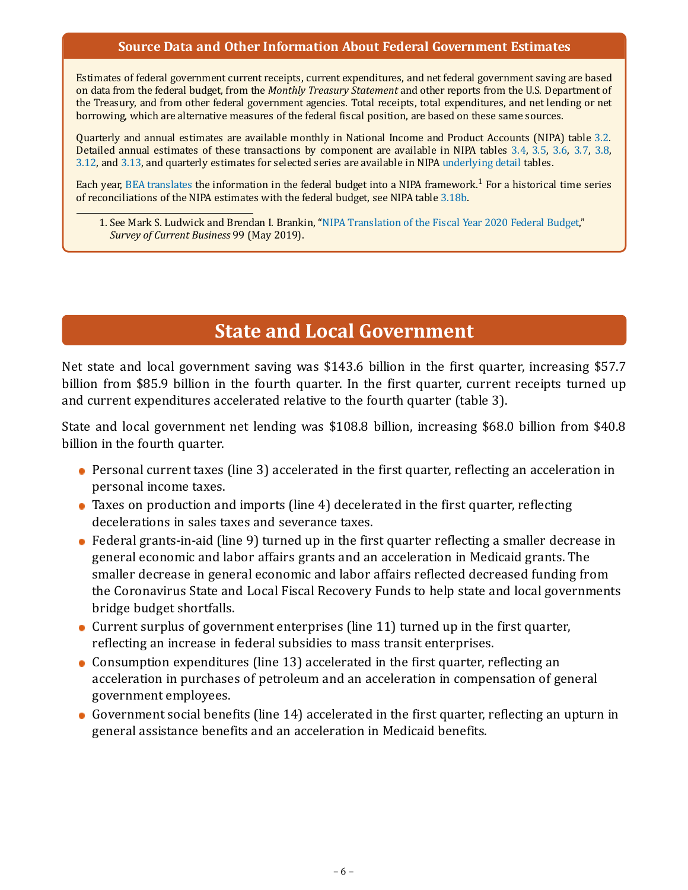#### **Source Data and Other Information About Federal Government Estimates**

Estimates of federal government current receipts, current expenditures, and net federal government saving are based on data from the federal budget, from the *Monthly Treasury Statement* and other reports from the U.S. Department of the Treasury, and from other federal government agencies. Total receipts, total expenditures, and net lending or net borrowing, which are alternative measures of the federal fiscal position, are based on these same sources.

Quarterly and annual estimates are available monthly in National Income and Product Accounts (NIPA) table [3.2](https://apps.bea.gov/iTable/iTable.cfm?reqid=19&step=3&isuri=1&nipa_table_list=87&categories=survey). Detailed annual estimates of these transactions by component are available in NIPA tables [3.4,](https://apps.bea.gov/iTable/iTable.cfm?reqid=19&step=3&isuri=1&nipa_table_list=89&categories=survey) [3.5,](https://apps.bea.gov/iTable/iTable.cfm?reqid=19&step=3&isuri=1&nipa_table_list=90&categories=survey) [3.6](https://apps.bea.gov/iTable/iTable.cfm?reqid=19&step=3&isuri=1&nipa_table_list=91&categories=survey), [3.7,](https://apps.bea.gov/iTable/iTable.cfm?reqid=19&step=3&isuri=1&nipa_table_list=92&categories=survey) [3.8,](https://apps.bea.gov/iTable/iTable.cfm?reqid=19&step=3&isuri=1&nipa_table_list=93&categories=survey) [3.12,](https://apps.bea.gov/iTable/iTable.cfm?reqid=19&step=3&isuri=1&nipa_table_list=110&categories=survey) and [3.13,](https://apps.bea.gov/iTable/iTable.cfm?reqid=19&step=3&isuri=1&nipa_table_list=111&categories=survey) and quarterly estimates for selected series are available in NIPA [underlying detail](https://apps.bea.gov/iTable/index_UD.cfm) tables.

Each year, [BEA translates](https://apps.bea.gov/scb/2022/04-april/0422-federal-budget.htm) the information in the federal budget into a NIPA framework.<sup>1</sup> For a historical time series of reconciliations of the NIPA estimates with the federal budget, see NIPA table [3.18b.](https://apps.bea.gov/iTable/iTable.cfm?reqid=19&step=3&isuri=1&nipa_table_list=122&categories=survey)

1. See Mark S. Ludwick and Brendan I. Brankin, "[NIPA Translation of the Fiscal Year 2020 Federal Budget,](https://apps.bea.gov/scb/2019/05-may/0519-federal-budget.htm)" *Survey of Current Business* 99 (May 2019).

# **State and Local Government**

Net state and local government saving was \$143.6 billion in the first quarter, increasing \$57.7 billion from \$85.9 billion in the fourth quarter. In the first quarter, current receipts turned up and current expenditures accelerated relative to the fourth quarter (table 3).

State and local government net lending was \$108.8 billion, increasing \$68.0 billion from \$40.8 billion in the fourth quarter.

- Personal current taxes (line 3) accelerated in the first quarter, reflecting an acceleration in personal income taxes.
- Taxes on production and imports (line 4) decelerated in the first quarter, reflecting decelerations in sales taxes and severance taxes.
- Federal grants-in-aid (line 9) turned up in the first quarter reflecting a smaller decrease in general economic and labor affairs grants and an acceleration in Medicaid grants. The smaller decrease in general economic and labor affairs reflected decreased funding from the Coronavirus State and Local Fiscal Recovery Funds to help state and local governments bridge budget shortfalls.
- Current surplus of government enterprises (line 11) turned up in the first quarter, reflecting an increase in federal subsidies to mass transit enterprises.
- Consumption expenditures (line 13) accelerated in the first quarter, reflecting an acceleration in purchases of petroleum and an acceleration in compensation of general government employees.
- Government social benefits (line 14) accelerated in the first quarter, reflecting an upturn in general assistance benefits and an acceleration in Medicaid benefits.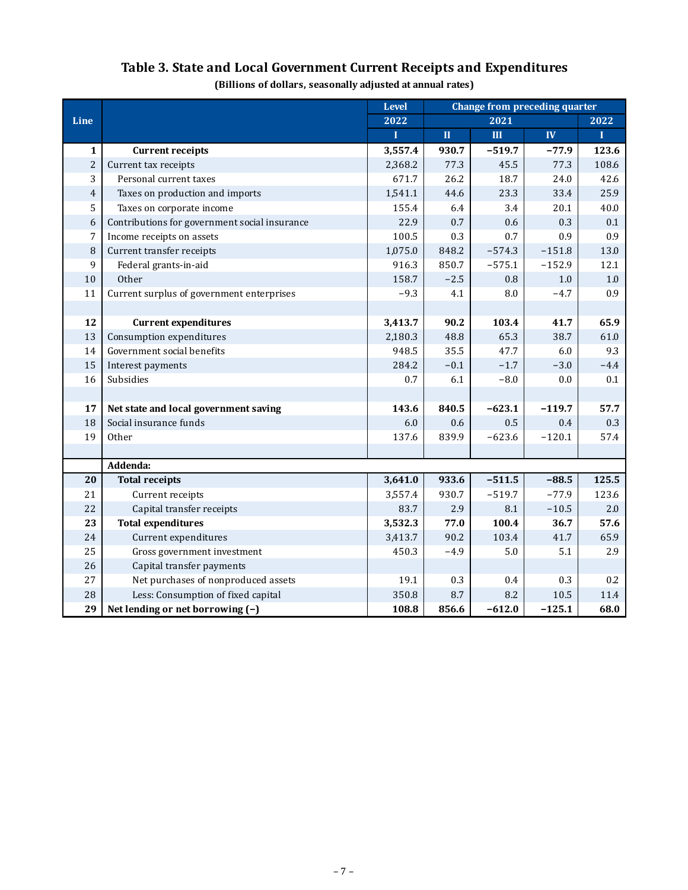|                |                                               | <b>Level</b> | <b>Change from preceding quarter</b> |           |          |         |
|----------------|-----------------------------------------------|--------------|--------------------------------------|-----------|----------|---------|
| Line           |                                               | 2022         |                                      | 2021      |          | 2022    |
|                |                                               | $\mathbf I$  | $\mathbf{I}$                         | III       | IV       | T       |
| $\mathbf{1}$   | <b>Current receipts</b>                       | 3,557.4      | 930.7                                | $-519.7$  | $-77.9$  | 123.6   |
| $\overline{c}$ | Current tax receipts                          | 2,368.2      | 77.3                                 | 45.5      | 77.3     | 108.6   |
| 3              | Personal current taxes                        | 671.7        | 26.2                                 | 18.7      | 24.0     | 42.6    |
| $\overline{4}$ | Taxes on production and imports               | 1,541.1      | 44.6                                 | 23.3      | 33.4     | 25.9    |
| 5              | Taxes on corporate income                     | 155.4        | 6.4                                  | 3.4       | 20.1     | 40.0    |
| 6              | Contributions for government social insurance | 22.9         | 0.7                                  | 0.6       | 0.3      | 0.1     |
| 7              | Income receipts on assets                     | 100.5        | 0.3                                  | 0.7       | 0.9      | 0.9     |
| $\, 8$         | Current transfer receipts                     | 1,075.0      | 848.2                                | $-574.3$  | $-151.8$ | 13.0    |
| 9              | Federal grants-in-aid                         | 916.3        | 850.7                                | $-575.1$  | $-152.9$ | 12.1    |
| $10\,$         | Other                                         | 158.7        | $-2.5$                               | $0.8\,$   | 1.0      | $1.0\,$ |
| 11             | Current surplus of government enterprises     | $-9.3$       | 4.1                                  | $\rm 8.0$ | $-4.7$   | 0.9     |
|                |                                               |              |                                      |           |          |         |
| 12             | <b>Current expenditures</b>                   | 3,413.7      | 90.2                                 | 103.4     | 41.7     | 65.9    |
| 13             | Consumption expenditures                      | 2,180.3      | 48.8                                 | 65.3      | 38.7     | 61.0    |
| 14             | Government social benefits                    | 948.5        | 35.5                                 | 47.7      | 6.0      | 9.3     |
| 15             | Interest payments                             | 284.2        | $-0.1$                               | $-1.7$    | $-3.0$   | $-4.4$  |
| 16             | Subsidies                                     | 0.7          | 6.1                                  | $-8.0$    | $0.0\,$  | 0.1     |
|                |                                               |              |                                      |           |          |         |
| 17             | Net state and local government saving         | 143.6        | 840.5                                | $-623.1$  | $-119.7$ | 57.7    |
| 18             | Social insurance funds                        | 6.0          | 0.6                                  | 0.5       | $0.4\,$  | 0.3     |
| 19             | Other                                         | 137.6        | 839.9                                | $-623.6$  | $-120.1$ | 57.4    |
|                |                                               |              |                                      |           |          |         |
|                | Addenda:                                      |              |                                      |           |          |         |
| 20             | <b>Total receipts</b>                         | 3,641.0      | 933.6                                | $-511.5$  | $-88.5$  | 125.5   |
| 21             | Current receipts                              | 3,557.4      | 930.7                                | $-519.7$  | $-77.9$  | 123.6   |
| 22             | Capital transfer receipts                     | 83.7         | 2.9                                  | 8.1       | $-10.5$  | 2.0     |
| 23             | <b>Total expenditures</b>                     | 3,532.3      | 77.0                                 | 100.4     | 36.7     | 57.6    |
| 24             | Current expenditures                          | 3,413.7      | 90.2                                 | 103.4     | 41.7     | 65.9    |
| 25             | Gross government investment                   | 450.3        | $-4.9$                               | 5.0       | 5.1      | 2.9     |
| 26             | Capital transfer payments                     |              |                                      |           |          |         |
| 27             | Net purchases of nonproduced assets           | 19.1         | 0.3                                  | 0.4       | 0.3      | 0.2     |
| 28             | Less: Consumption of fixed capital            | 350.8        | 8.7                                  | 8.2       | 10.5     | 11.4    |
| 29             | Net lending or net borrowing (-)              | 108.8        | 856.6                                | $-612.0$  | $-125.1$ | 68.0    |

# **Table 3. State and Local Government Current Receipts and Expenditures**

**(Billions of dollars, seasonally adjusted at annual rates)**